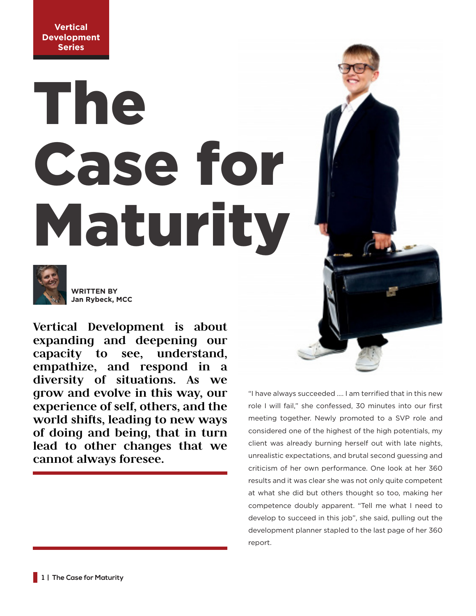**Vertical Development Series**

## The Case for Maturity



**WRITTEN BY Jan Rybeck, MCC**

**Vertical Development is about expanding and deepening our capacity to see, understand, empathize, and respond in a diversity of situations. As we grow and evolve in this way, our experience of self, others, and the world shifts, leading to new ways of doing and being, that in turn lead to other changes that we cannot always foresee.**

"I have always succeeded …. I am terrified that in this new role I will fail," she confessed, 30 minutes into our first meeting together. Newly promoted to a SVP role and considered one of the highest of the high potentials, my client was already burning herself out with late nights, unrealistic expectations, and brutal second guessing and criticism of her own performance. One look at her 360 results and it was clear she was not only quite competent at what she did but others thought so too, making her competence doubly apparent. "Tell me what I need to develop to succeed in this job", she said, pulling out the development planner stapled to the last page of her 360 report.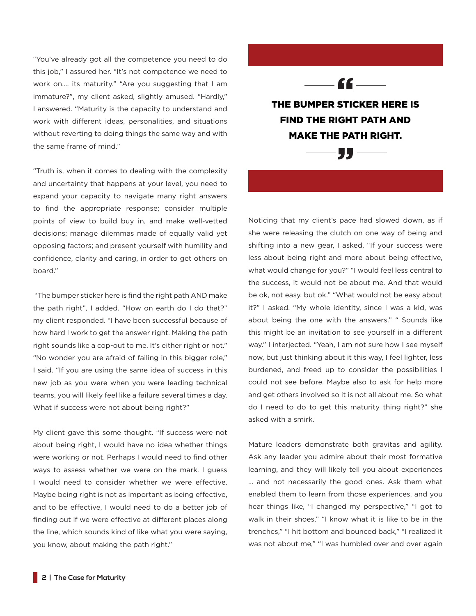"You've already got all the competence you need to do this job," I assured her. "It's not competence we need to work on…. its maturity." "Are you suggesting that I am immature?", my client asked, slightly amused. "Hardly," I answered. "Maturity is the capacity to understand and work with different ideas, personalities, and situations without reverting to doing things the same way and with the same frame of mind."

"Truth is, when it comes to dealing with the complexity and uncertainty that happens at your level, you need to expand your capacity to navigate many right answers to find the appropriate response; consider multiple points of view to build buy in, and make well-vetted decisions; manage dilemmas made of equally valid yet opposing factors; and present yourself with humility and confidence, clarity and caring, in order to get others on board."

 "The bumper sticker here is find the right path AND make the path right", I added. "How on earth do I do that?" my client responded. "I have been successful because of how hard I work to get the answer right. Making the path right sounds like a cop-out to me. It's either right or not." "No wonder you are afraid of failing in this bigger role," I said. "If you are using the same idea of success in this new job as you were when you were leading technical teams, you will likely feel like a failure several times a day. What if success were not about being right?"

My client gave this some thought. "If success were not about being right, I would have no idea whether things were working or not. Perhaps I would need to find other ways to assess whether we were on the mark. I guess I would need to consider whether we were effective. Maybe being right is not as important as being effective, and to be effective, I would need to do a better job of finding out if we were effective at different places along the line, which sounds kind of like what you were saying, you know, about making the path right."

THE BUMPER STICKER HERE IS FIND THE RIGHT PATH AND MAKE THE PATH RIGHT. ""

- "

Noticing that my client's pace had slowed down, as if she were releasing the clutch on one way of being and shifting into a new gear, I asked, "If your success were less about being right and more about being effective, what would change for you?" "I would feel less central to the success, it would not be about me. And that would be ok, not easy, but ok." "What would not be easy about it?" I asked. "My whole identity, since I was a kid, was about being the one with the answers." " Sounds like this might be an invitation to see yourself in a different way." I interjected. "Yeah, I am not sure how I see myself now, but just thinking about it this way, I feel lighter, less burdened, and freed up to consider the possibilities I could not see before. Maybe also to ask for help more and get others involved so it is not all about me. So what do I need to do to get this maturity thing right?" she asked with a smirk.

Mature leaders demonstrate both gravitas and agility. Ask any leader you admire about their most formative learning, and they will likely tell you about experiences … and not necessarily the good ones. Ask them what enabled them to learn from those experiences, and you hear things like, "I changed my perspective," "I got to walk in their shoes," "I know what it is like to be in the trenches," "I hit bottom and bounced back," "I realized it was not about me," "I was humbled over and over again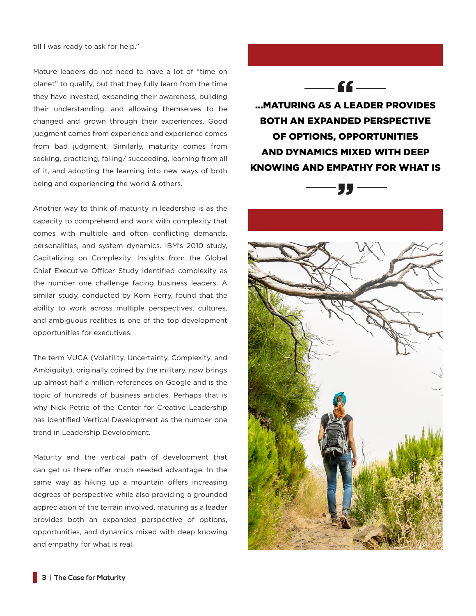till I was ready to ask for help."

Mature leaders do not need to have a lot of "time on planet" to qualify, but that they fully learn from the time they have invested, expanding their awareness, building their understanding, and allowing themselves to be changed and grown through their experiences. Good judgment comes from experience and experience comes from bad judgment. Similarly, maturity comes from seeking, practicing, failing/ succeeding, learning from all of it, and adopting the learning into new ways of both being and experiencing the world & others.

Another way to think of maturity in leadership is as the capacity to comprehend and work with complexity that comes with multiple and often conflicting demands, personalities, and system dynamics. IBM's 2010 study, Capitalizing on Complexity: Insights from the Global Chief Executive Officer Study identified complexity as the number one challenge facing business leaders. A similar study, conducted by Korn Ferry, found that the ability to work across multiple perspectives, cultures, and ambiguous realities is one of the top development opportunities for executives.

The term VUCA (Volatility, Uncertainty, Complexity, and Ambiguity), originally coined by the military, now brings up almost half a million references on Google and is the topic of hundreds of business articles. Perhaps that is why Nick Petrie of the Center for Creative Leadership has identified Vertical Development as the number one trend in Leadership Development.

Maturity and the vertical path of development that can get us there offer much needed advantage. In the same way as hiking up a mountain offers increasing degrees of perspective while also providing a grounded appreciation of the terrain involved, maturing as a leader provides both an expanded perspective of options, opportunities, and dynamics mixed with deep knowing and empathy for what is real.



...MATURING AS A LEADER PROVIDES BOTH AN EXPANDED PERSPECTIVE OF OPTIONS, OPPORTUNITIES AND DYNAMICS MIXED WITH DEEP KNOWING AND EMPATHY FOR WHAT IS



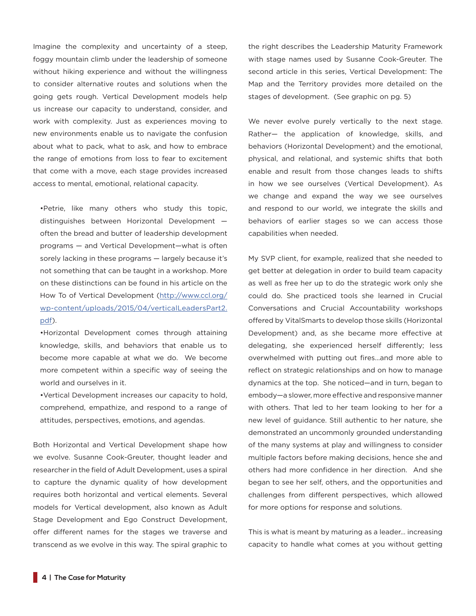Imagine the complexity and uncertainty of a steep, foggy mountain climb under the leadership of someone without hiking experience and without the willingness to consider alternative routes and solutions when the going gets rough. Vertical Development models help us increase our capacity to understand, consider, and work with complexity. Just as experiences moving to new environments enable us to navigate the confusion about what to pack, what to ask, and how to embrace the range of emotions from loss to fear to excitement that come with a move, each stage provides increased access to mental, emotional, relational capacity.

•Petrie, like many others who study this topic, distinguishes between Horizontal Development often the bread and butter of leadership development programs — and Vertical Development—what is often sorely lacking in these programs — largely because it's not something that can be taught in a workshop. More on these distinctions can be found in his article on the How To of Vertical Development (http://www.ccl.org/ wp-content/uploads/2015/04/verticalLeadersPart2. pdf).

•Horizontal Development comes through attaining knowledge, skills, and behaviors that enable us to become more capable at what we do. We become more competent within a specific way of seeing the world and ourselves in it.

•Vertical Development increases our capacity to hold, comprehend, empathize, and respond to a range of attitudes, perspectives, emotions, and agendas.

Both Horizontal and Vertical Development shape how we evolve. Susanne Cook-Greuter, thought leader and researcher in the field of Adult Development, uses a spiral to capture the dynamic quality of how development requires both horizontal and vertical elements. Several models for Vertical development, also known as Adult Stage Development and Ego Construct Development, offer different names for the stages we traverse and transcend as we evolve in this way. The spiral graphic to

the right describes the Leadership Maturity Framework with stage names used by Susanne Cook-Greuter. The second article in this series, Vertical Development: The Map and the Territory provides more detailed on the stages of development. (See graphic on pg. 5)

We never evolve purely vertically to the next stage. Rather— the application of knowledge, skills, and behaviors (Horizontal Development) and the emotional, physical, and relational, and systemic shifts that both enable and result from those changes leads to shifts in how we see ourselves (Vertical Development). As we change and expand the way we see ourselves and respond to our world, we integrate the skills and behaviors of earlier stages so we can access those capabilities when needed.

My SVP client, for example, realized that she needed to get better at delegation in order to build team capacity as well as free her up to do the strategic work only she could do. She practiced tools she learned in Crucial Conversations and Crucial Accountability workshops offered by VitalSmarts to develop those skills (Horizontal Development) and, as she became more effective at delegating, she experienced herself differently; less overwhelmed with putting out fires…and more able to reflect on strategic relationships and on how to manage dynamics at the top. She noticed—and in turn, began to embody—a slower, more effective and responsive manner with others. That led to her team looking to her for a new level of guidance. Still authentic to her nature, she demonstrated an uncommonly grounded understanding of the many systems at play and willingness to consider multiple factors before making decisions, hence she and others had more confidence in her direction. And she began to see her self, others, and the opportunities and challenges from different perspectives, which allowed for more options for response and solutions.

This is what is meant by maturing as a leader… increasing capacity to handle what comes at you without getting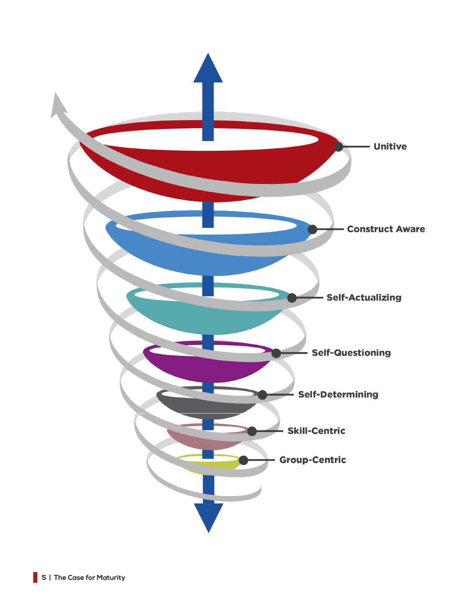